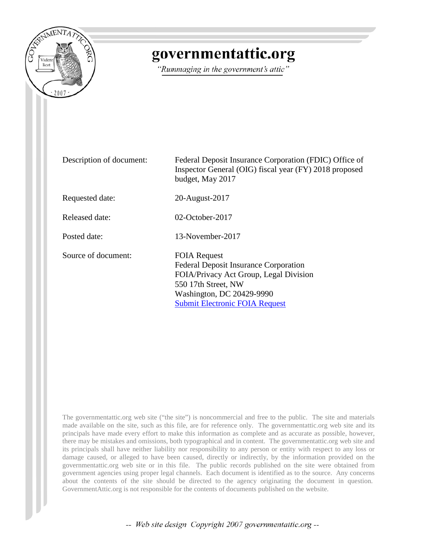

## governmentattic.org

"Rummaging in the government's attic"

Description of document: Federal Deposit Insurance Corporation (FDIC) Office of Inspector General (OIG) fiscal year (FY) 2018 proposed budget, May 2017 Requested date: 20-August-2017 Released date: 02-October-2017 Posted date: 13-November-2017 Source of document: FOIA Request Federal Deposit Insurance Corporation FOIA/Privacy Act Group, Legal Division 550 17th Street, NW Washington, DC 20429-9990 [Submit Electronic FOIA Request](https://efoiarequest.fdic.gov/palMain.aspx)

The governmentattic.org web site ("the site") is noncommercial and free to the public. The site and materials made available on the site, such as this file, are for reference only. The governmentattic.org web site and its principals have made every effort to make this information as complete and as accurate as possible, however, there may be mistakes and omissions, both typographical and in content. The governmentattic.org web site and its principals shall have neither liability nor responsibility to any person or entity with respect to any loss or damage caused, or alleged to have been caused, directly or indirectly, by the information provided on the governmentattic.org web site or in this file. The public records published on the site were obtained from government agencies using proper legal channels. Each document is identified as to the source. Any concerns about the contents of the site should be directed to the agency originating the document in question. GovernmentAttic.org is not responsible for the contents of documents published on the website.

-- Web site design Copyright 2007 governmentattic.org --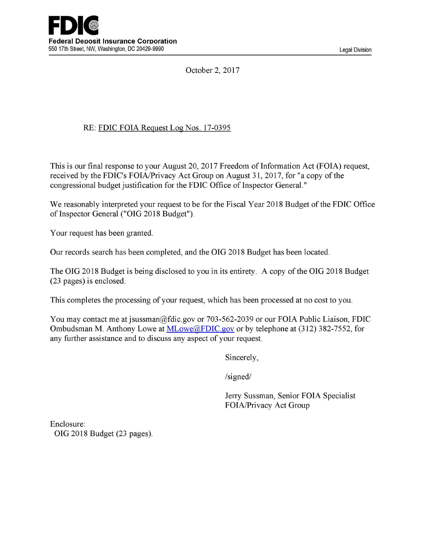October 2, 2017

#### RE: FDIC FOIA Request Log Nos. 17-0395

This is our final response to your August 20, 2017 Freedom of Information Act (FOIA) request, received by the FDIC's FOIA/Privacy Act Group on August 31, 2017, for "a copy of the congressional budget justification for the FDIC Office of Inspector General."

We reasonably interpreted your request to be for the Fiscal Year 2018 Budget of the FDIC Office of Inspector General ("OIG 2018 Budget").

Your request has been granted.

Our records search has been completed, and the OIG 2018 Budget has been located.

The OIG 2018 Budget is being disclosed to you in its entirety. A copy of the OIG 2018 Budget (23 pages) is enclosed.

This completes the processing of your request, which has been processed at no cost to you.

You may contact me at jsussman@fdic.gov or 703-562-2039 or our FOIA Public Liaison, FDIC Ombudsman M. Anthony Lowe at MLowe@FDIC.gov or by telephone at (312) 382-7552, for any further assistance and to discuss any aspect of your request.

Sincerely,

/signed/

Jerry Sussman, Senior FOIA Specialist FOIA/Privacy Act Group

Enclosure: OIG 2018 Budget (23 pages).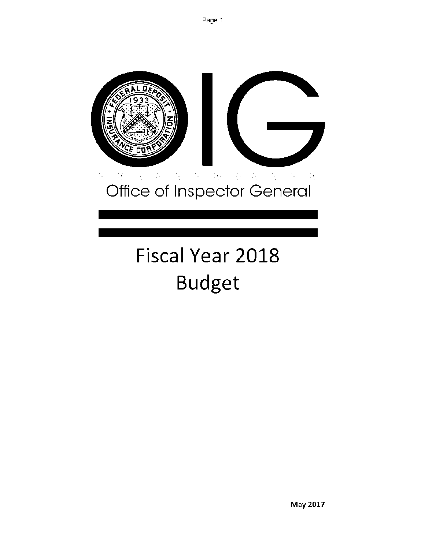

# Office of Inspector General

## Fiscal Year 2018 Budget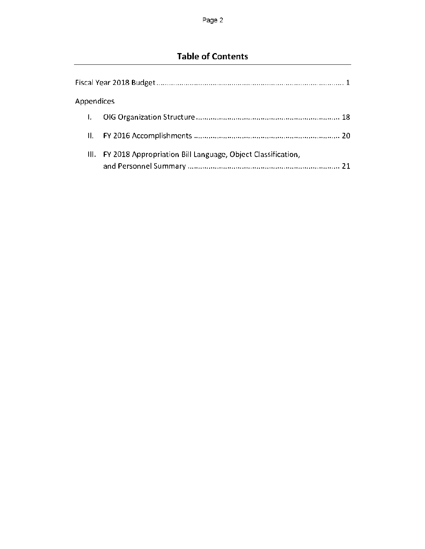### Table of Contents

| Appendices |                                                             |
|------------|-------------------------------------------------------------|
|            |                                                             |
| Н.         |                                                             |
| III.       | FY 2018 Appropriation Bill Language, Object Classification, |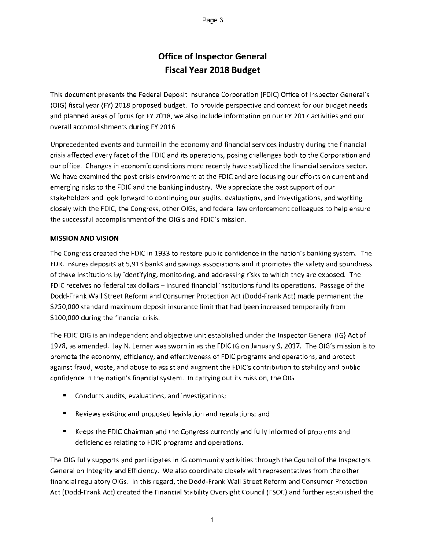#### Office of Inspector General Fiscal Year 2018 Budget

This document presents the Federal Deposit Insurance Corporation (FDIC) Office of Inspector General's (01G) fiscal year (FY) 2018 proposed budget. To provide perspective and context for our budget needs and planned areas of focus for FY 2018, we also include information on our FY 2017 activities and our overall accomplishments during FY 2016.

Unprecedented events and turmoil in the economy and financial services industry during the financial crisis affected every facet of the FDIC and its operations, posing challenges both to the Corporation and our office. Changes in economic conditions more recently have stabilized the financial services sector. We have examined the post-crisis environment at the FDIC and are focusing our efforts on current and emerging risks to the FDIC and the banking industry. We appreciate the past support of our stakeholders and look forward to continuing our audits, evaluations, and investigations, and working closely with the FDIC, the Congress, other OlGs, and federal law enforcement colleagues to help ensure the successful accomplishment of the OIG's and FDIC's mission.

#### MISSION AND VISION

The Congress created the FDIC in 1933 to restore public confidence in the nation's banking system. The FDIC insures deposits at 5,913 banks and savings associations and it promotes the safety and soundness of these institutions by identifying, monitoring, and addressing risks to which they are exposed. The FDIC receives no federal tax dollars — insured financial institutions fund its operations. Passage of the Dodd-Frank Wall Street Reform and Consumer Protection Act (Dodd-Frank Act) made permanent the \$250,000 standard maximum deposit insurance limit that had been increased temporarily from \$100,000 during the financial crisis.

The FDIC OIG is an independent and objective unit established under the Inspector General (IG) Act of 1978, as amended. Jay N. Lerner was sworn in as the FDIC IG on January 9,2017. The OIG's mission is to promote the economy, efficiency, and effectiveness of FDIC programs and operations, and protect against fraud, waste, and abuse to assist and augment the FDIC's contribution to stability and public confidence in the nation's financial system. In carrying out its mission, the OIG

- Conducts audits, evaluations, and investigations;
- Reviews existing and proposed legislation and regulations; and
- Keeps the FDIC Chairman and the Congress currently and fully informed of problems and deficiencies relating to FDIC programs and operations.

The OIG fully supports and participates in IG community activities through the Council of the Inspectors General on Integrity and Efficiency. We also coordinate closely with representatives from the other financial regulatory OlGs. In this regard, the Dodd-Frank Wall Street Reform and Consumer Protection Act (Dodd-Frank Act) created the Financial Stability Oversight Council (FSOC) and further established the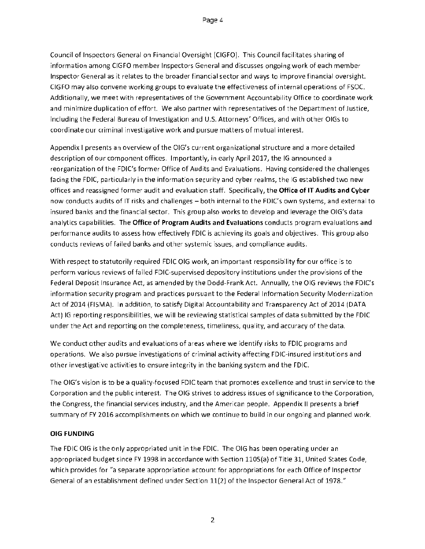Council of Inspectors General on Financial Oversight (CIGFO). This Council facilitates sharing of information among CIGFO member Inspectors General and discusses ongoing work of each member Inspector General as it relates to the broader financial sector and ways to improve financial oversight. CIGFO may also convene working groups to evaluate the effectiveness of internal operations of FSOC. Additionally, we meet with representatives of the Government Accountability Office to coordinate work and minimize duplication of effort. We also partner with representatives of the Department of Justice, including the Federal Bureau of Investigation and U.S. Attorneys' Offices, and with other OlGs to coordinate our criminal investigative work and pursue matters of mutual interest.

Appendix I presents an overview of the OIG's current organizational structure and a more detailed description of our component offices. Importantly, in early April 2017, the IG announced a reorganization of the FDIC's former Office of Audits and Evaluations. Having considered the challenges facing the FDIC, particularly in the information security and cyber realms, the IG established two new offices and reassigned former audit and evaluation staff. Specifically, the Office of IT Audits and Cyber now conducts audits of IT risks and challenges — both internal to the FDIC's own systems, and external to insured banks and the financial sector. This group also works to develop and leverage the OIG's data analytics capabilities. The Office of Program Audits and Evaluations conducts program evaluations and performance audits to assess how effectively FDIC is achieving its goals and objectives. This group also conducts reviews of failed banks and other systemic issues, and compliance audits.

With respect to statutorily required FDIC OIG work, an important responsibility for our office is to perform various reviews of failed FDIC-supervised depository institutions under the provisions of the Federal Deposit Insurance Act, as amended by the Dodd-Frank Act. Annually, the OIG reviews the FDIC's information security program and practices pursuant to the Federal Information Security Modernization Act of 2014 (FISMA). In addition, to satisfy Digital Accountability and Transparency Act of 2014 (DATA Act) IG reporting responsibilities, we will be reviewing statistical samples of data submitted by the FDIC under the Act and reporting on the completeness, timeliness, quality, and accuracy of the data.

We conduct other audits and evaluations of areas where we identify risks to FDIC programs and operations. We also pursue investigations of criminal activity affecting FDIC-insured institutions and other investigative activities to ensure integrity in the banking system and the FDIC.

The OIG's vision is to be a quality-focused FDIC team that promotes excellence and trust in service to the Corporation and the public interest. The OIG strives to address issues of significance to the Corporation, the Congress, the financial services industry, and the American people. Appendix II presents a brief summary of FY 2016 accomplishments on which we continue to build in our ongoing and planned work.

#### OIG FUNDING

The FDIC OIG is the only appropriated unit in the FDIC. The OIG has been operating under an appropriated budget since FY 1998 in accordance with Section 1105(a) of Title 31, United States Code, which provides for "a separate appropriation account for appropriations for each Office of Inspector General of an establishment defined under Section 11(2) of the Inspector General Act of 1978."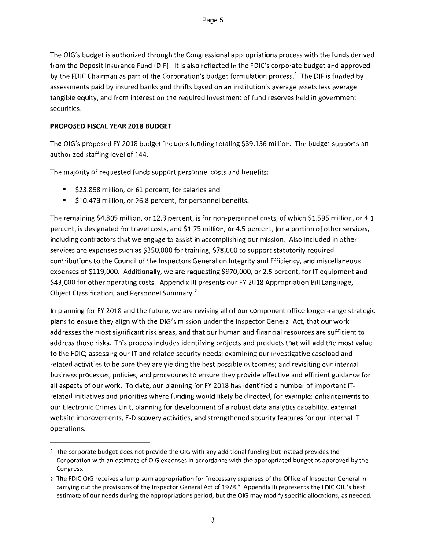The OIG's budget is authorized through the Congressional appropriations process with the funds derived from the Deposit Insurance Fund (DIF). It is also reflected in the FDIC's corporate budget and approved by the FDIC Chairman as part of the Corporation's budget formulation process.<sup>1</sup> The DIF is funded by assessments paid by insured banks and thrifts based on an institution's average assets less average tangible equity, and from interest on the required investment of fund reserves held in government securities.

#### **PROPOSED FISCAL YEAR 2018 BUDGET**

The OIG's proposed FY 2018 budget includes funding totaling \$39.136 million. The budget supports an authorized staffing level of 144.

The majority of requested funds support personnel costs and benefits:

- \$23.858 million, or 61 percent, for salaries and
- \$10473 million, or 26.8 percent, for personnel benefits.

The remaining \$4.805 million, or 12.3 percent, is for non-personnel costs, of which \$1.595 million, or 4.1 percent, is designated for travel costs, and \$1.75 million, or 4.5 percent, for a portion of other services, including contractors that we engage to assist in accomplishing our mission. Also included in other services are expenses such as \$250,000 for training, \$78,000 to support statutorily required contributions to the Council of the Inspectors General on Integrity and Efficiency, and miscellaneous expenses of \$119,000. Additionally, we are requesting \$970,000, or 2.5 percent, for IT equipment and \$43,000 for other operating costs. Appendix III presents our FY 2018 Appropriation Bill Language, Object Classification, and Personnel Summary.2

In planning for FY 2018 and the future, we are revising all of our component office longer-range strategic plans to ensure they align with the OIG's mission under the Inspector General Act, that our work addresses the most significant risk areas, and that our human and financial resources are sufficient to address those risks. This process includes identifying projects and products that will add the most value to the FDIC; assessing our IT and related security needs; examining our investigative caseload and related activities to be sure they are yielding the best possible outcomes; and revisiting our internal business processes, policies, and procedures to ensure they provide effective and efficient guidance for all aspects of our work. To date, our planning for FY 2018 has identified a number of important ITrelated initiatives and priorities where funding would likely be directed, for example: enhancements to our Electronic Crimes Unit, planning for development of a robust data a na lytics capability, external website improvements, E-Discovery activities, and strengthened security features for our internal IT operations.

 $1$  The corporate budget does not provide the OIG with any additional funding but instead provides the Corporation with an estimate of 016 expenses in accordance with the appropriated budget as approved by the Congress.

The FDIC 016 receives a lump-sum appropriation for "necessary expenses of the Office of Inspector General in carrying out the provisions of the Inspector General Act of 1978." Appendix III represents the FDIC OIG's best estimate of our needs during the appropriations period, but the OIG may modify specific allocations, as needed.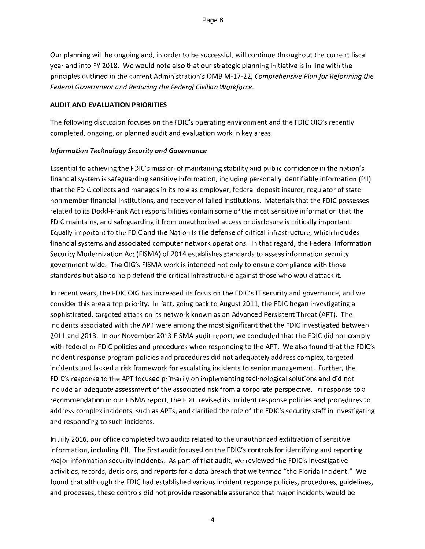Our planning will be ongoing and, in order to be successful, will continue throughout the current fiscal year and into FY 2018. We would note also that our strategic planning initiative is in line with the principles outlined in the current Administration's OMB M-17-22, *Comprehensive Plan for Reforming the Federal Government and Reducing the Federal Civilian Workforce.* 

#### **AUDIT AND EVALUATION PRIORITIES**

The following discussion focuses on the FDIC's operating environment and the FDIC OIG's recently completed, ongoing, or planned audit and evaluation work in key areas.

#### *Information Technology Security and Governance*

Essential to achieving the FDIC's mission of maintaining stability and public confidence in the nation's financial system is safeguarding sensitive information, including personally identifiable information (PII) that the FDIC collects and manages in its role as employer, federal deposit insurer, regulator of state nonmember financial institutions, and receiver of failed institutions. Materials that the FDIC possesses related to its Dodd-Frank Act responsibilities contain some of the most sensitive information that the FDIC maintains, and safeguarding it from unauthorized access or disclosure is critically important. Equally important to the FDIC and the Nation is the defense of critical infrastructure, which includes financial systems and associated computer network operations. In that regard, the Federal Information Security Modernization Act (FISMA) of 2014 establishes standards to assess information security government wide. The OIG's FISMA work is intended not only to ensure compliance with those standards but also to help defend the critical infrastructure against those who would attack it.

In recent years, the FDIC OIG has increased its focus on the FDIC's IT security and governance, and we consider this area a top priority. In fact, going back to August 2011, the FDIC began investigating a sophisticated, targeted attack on its network known as an Advanced Persistent Threat (APT). The incidents associated with the APT were among the most significant that the FDIC investigated between 2011 and 2013. In our November 2013 FISMA audit report, we concluded that the FDIC did not comply with federal or FDIC policies and procedures when responding to the APT. We also found that the FDIC's incident response program policies and procedures did not adequately address complex, targeted incidents and lacked a risk framework for escalating incidents to senior management. Further, the FDIC's response to the APT focused primarily on implementing technological solutions and did not include an adequate assessment of the associated risk from a corporate perspective. In response to a recommendation in our FISMA report, the FDIC revised its incident response policies and procedures to address complex incidents, such as APTs, and clarified the role of the FDIC's security staff in investigating and responding to such incidents.

In July 2016, our office completed two audits related to the unauthorized exfiltration of sensitive information, including PII. The first audit focused on the FDIC's controls for identifying and reporting major information security incidents. As part of that audit, we reviewed the FDIC's investigative activities, records, decisions, and reports for a data breach that we termed "the Florida Incident." We found that although the FDIC had established various incident response policies, procedures, guidelines, and processes, these controls did not provide reasonable assurance that major incidents would be

4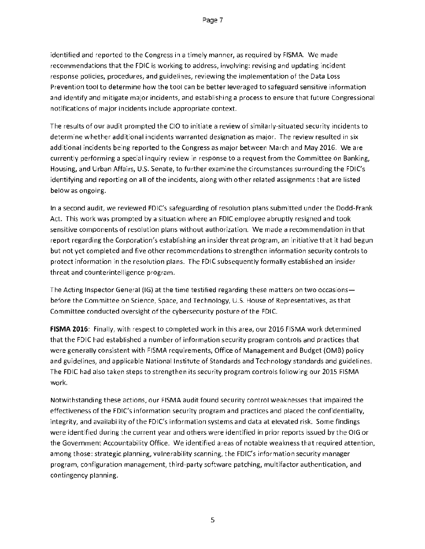identified and reported to the Congress in a timely manner, as required by FISMA. We made recommendations that the FDIC is working to address, involving: revising and updating incident response policies, procedures, and guidelines, reviewing the implementation of the Data Loss Prevention tool to determine how the tool can be better leveraged to safeguard sensitive information and identify and mitigate major incidents, and establishing a process to ensure that future Congressional notifications of major incidents include appropriate context.

The results of our audit prompted the CIO to initiate a review of similarly-situated security incidents to determine whether additional incidents warranted designation as major. The review resulted in six additional incidents being reported to the Congress as major between March and May 2016. We are currently performing a special inquiry review in response to a request from the Committee on Banking, Housing, and Urban Affairs, US. Senate, to further examine the circumstances surrounding the FDIC's identifying and reporting on all of the incidents, along with other related assignments that are listed below as ongoing.

In a second audit, we reviewed FDIC's safeguarding of resolution plans submitted under the Dodd-Frank Act. This work was prompted by a situation where an FDIC employee abruptly resigned and took sensitive components of resolution plans without authorization. We made a recommendation in that report regarding the Corporation's establishing an insider threat program, an initiative that it had begun but not yet completed and five other recommendations to strengthen information security controls to protect information in the resolution plans. The FDIC subsequently formally established an insider threat and counterintelligence program.

The Acting Inspector General (IG) at the time testified regarding these matters on two occasions before the Committee on Science, Space, and Technology, U.S. House of Representatives, as that Committee conducted oversight of the cybersecurity posture of the FDIC.

FISMA 2016: Finally, with respect to completed work in this area, our 2016 FISMA work determined that the FDIC had established a number of information security program controls and practices that were generally consistent with FISMA requirements, Office of Management and Budget (OMB) policy and guidelines, and applicable National Institute of Standards and Technology standards and guidelines. The FDIC had also taken steps to strengthen its security program controls following our 2015 FISMA work.

Notwithstanding these actions, our FISMA audit found security control weaknesses that impaired the effectiveness of the FDIC's information security program and practices and placed the confidentiality, integrity, and availability of the FDIC's information systems and data at elevated risk. Some findings were identified during the current year and others were identified in prior reports issued by the OIG or the Government Accountability Office. We identified areas of notable weakness that required attention, among those: strategic planning, vulnerability scanning, the FDIC's information security manager program, configuration management, third-party software patching, multifactor authentication, and contingency planning.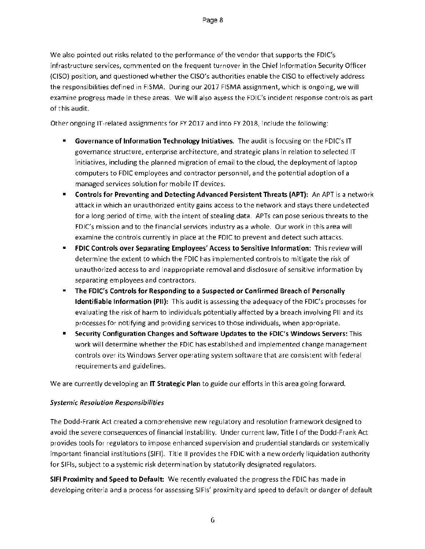We also pointed out risks related to the performance of the vendor that supports the FDIC's infrastructure services, commented on the frequent turnover in the Chief Information Security Officer (CISO) position, and questioned whether the CISO's authorities enable the CISO to effectively address the responsibilities defined in FISMA. During our 2017 FISMA assignment, which is ongoing, we will examine progress made in these areas. We will also assess the FDIC's incident response controls as part of this audit.

Other ongoing IT-related assignments for FY 2017 and into FY 2018, include the following:

- **Governance of Information Technology Initiatives.** The audit is focusing on the FDIC's IT governance structure, enterprise architecture, and strategic plans in relation to selected IT initiatives, including the planned migration of email to the cloud, the deployment of laptop computers to FDIC employees and contractor personnel, and the potential adoption of a managed services solution for mobile IT devices.
- **Controls for Preventing and Detecting Advanced Persistent Threats (APT):** An APT is a network attack in which an unauthorized entity gains access to the network and stays there undetected for a long period of time, with the intent of stealing data. APTs can pose serious threats to the FDIC's mission and to the financial services industry as a whole. Our work in this area will examine the controls currently in place at the FDIC to prevent and detect such attacks.
- **FDIC Controls over Separating Employees' Access to Sensitive Information:** This review will determine the extent to which the FDIC has implemented controls to mitigate the risk of unauthorized access to and inappropriate removal and disclosure of sensitive information by separating employees and contractors.
- **The FDIC's Controls for Responding to a Suspected or Confirmed Breach of Personally Identifiable Information (PII):** This audit is assessing the adequacy of the FDIC's processes for evaluating the risk of harm to individuals potentially affected by a breach involving Pll and its processes for notifying and providing services to those individuals, when appropriate.
- **Security Configuration Changes and Software Updates to the FDIC's Windows Servers:** This work will determine whether the FDIC has established and implemented change management controls over its Windows Server operating system software that are consistent with federal requirements and guidelines.

We are currently developing an **IT Strategic Plan** to guide our efforts in this area going forward.

#### *Systemic Resolution Responsibilities*

The Dodd-Frank Act created a comprehensive new regulatory and resolution framework designed to avoid the severe consequences of financial instability. Under current law, Title I of the Dodd-Frank Act provides tools for regulators to impose enhanced supervision and prudential standards on systemically important financial institutions (SIFI). Title II provides the FDIC with a new orderly liquidation authority for SIFIs, subject to a systemic risk determination by statutorily designated regulators.

**SIR Proximity and Speed to Default:** We recently evaluated the progress the FDIC has made in developing criteria and a process for assessing SIFIs' proximity and speed to default or danger of default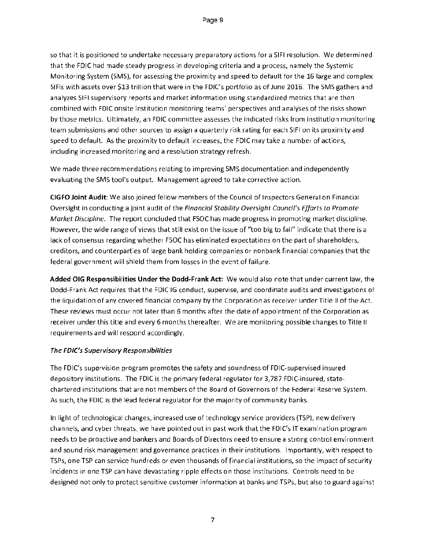so that it is positioned to undertake necessary preparatory actions for a SIFI resolution. We determined that the FDIC had made steady progress in developing criteria and a process, namely the Systemic Monitoring System (SMS), for assessing the proximity and speed to default for the 16 large and complex SIFIs with assets over \$13 trillion that were in the FDIC's portfolio as of June 2016. The SMS gathers and analyzes SIFI supervisory reports and market information using standardized metrics that are then combined with FDIC onsite institution monitoring teams' perspectives and analyses of the risks shown by those metrics. Ultimately, an FDIC committee assesses the indicated risks from institution monitoring team submissions and other sources to assign a quarterly risk rating for each SIFI on its proximity and speed to default. As the proximity to default increases, the FDIC may take a number of actions, including increased monitoring and a resolution strategy refresh.

We made three recommendations relating to improving SMS documentation and independently evaluating the SMS tool's output. Management agreed to take corrective action.

CIGFO Joint Audit: We also joined fellow members of the Council of Inspectors General on Financial Oversight in conducting a joint audit of the *Financial Stability Oversight Council's Efforts to Promote Market Discipline.* The report concluded that FSOC has made progress in promoting market discipline. However, the wide range of views that still exist on the issue of "too big to fail" indicate that there is a lack of consensus regarding whether FSOC has eliminated expectations on the part of shareholders, creditors, and counterparties of large bank holding companies or nonbank financial companies that the federal government will shield them from losses in the event of failure.

Added OIG Responsibilities Under the Dodd-Frank Act: We would also note that under current law, the Dodd-Frank Act requires that the FDIC IG conduct, supervise, and coordinate audits and investigations of the liquidation of any covered financial company by the Corporation as receiver under Title II of the Act. These reviews must occur not later than 6 months after the date of appointment of the Corporation as receiver under this title and every 6 months thereafter. We are monitoring possible changes to Title II requirements and will respond accordingly.

#### *The FDIC's Supervisory Responsibilities*

The FDIC's supervision program promotes the safety and soundness of FDIC-supervised insured depository institutions. The FDIC is the primary federal regulator for 3,787 FDIC-insured, statechartered institutions that are not members of the Board of Governors of the Federal Reserve System. As such, the FDIC is the lead federal regulator for the majority of community banks.

In light of technological changes, increased use of technology service providers (TSP), new delivery channels, and cyber threats, we have pointed out in past work that the FDIC's IT examination program needs to be proactive and bankers and Boards of Directors need to ensure a strong control environment and sound risk management and governance practices in their institutions. Importantly, with respect to TSPs, one TSP can service hundreds or even thousands of financial institutions, so the impact of security incidents in one TSP can have devastating ripple effects on those institutions. Controls need to be designed not only to protect sensitive customer information at banks and TSPs, but also to guard against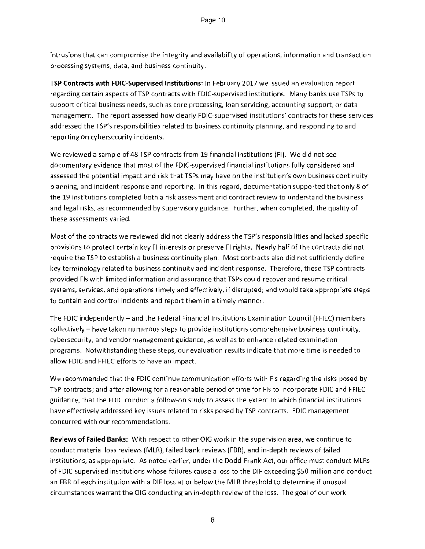intrusions that can compromise the integrity and availability of operations, information and transaction processing systems, data, and business continuity.

TSP Contracts with FDIC-Supervised Institutions: In February 2017 we issued an evaluation report regarding certain aspects of TSP contracts with FDIC-supervised institutions. Many banks use TSPs to support critical business needs, such as core processing, loan servicing, accounting support, or data management. The report assessed how clearly FDIC-supervised institutions' contracts for these services addressed the TSP's responsibilities related to business continuity planning, and responding to and reporting on cybersecurity incidents.

We reviewed a sample of 48 TSP contracts from 19 financial institutions (Fl). We did not see documentary evidence that most of the FDIC-supervised financial institutions fully considered and assessed the potential impact and risk that TSPs may have on the institution's own business continuity planning, and incident response and reporting. In this regard, documentation supported that only 8 of the 19 institutions completed both a risk assessment and contract review to understand the business and legal risks, as recommended by supervisory guidance. Further, when completed, the quality of these assessments varied.

Most of the contracts we reviewed did not clearly address the TSP's responsibilities and lacked specific provisions to protect certain key Fl interests or preserve Fl rights. Nearly half of the contracts did not require the TSP to establish a business continuity plan. Most contracts also did not sufficiently define key terminology related to business continuity and incident response. Therefore, these TSP contracts provided Fls with limited information and assurance that TSPs could recover and resume critical systems, services, and operations timely and effectively, if disrupted; and would take appropriate steps to contain and control incidents and report them in a timely manner.

The FDIC independently — and the Federal Financial Institutions Examination Council (FFIEC) members collectively — have taken numerous steps to provide institutions comprehensive business continuity, cybersecurity, and vendor management guidance, as well as to enhance related examination programs. Notwithstanding these steps, our evaluation results indicate that more time is needed to allow FDIC and FFIEC efforts to have an impact.

We recommended that the FDIC continue communication efforts with Fls regarding the risks posed by TSP contracts; and after allowing for a reasonable period of time for Fls to incorporate FDIC and FFIEC guidance, that the FDIC conduct a follow-on study to assess the extent to which financial institutions have effectively addressed key issues related to risks posed by TSP contracts. FDIC management concurred with our recommendations.

Reviews of Failed Banks: With respect to other OIG work in the supervision area, we continue to conduct material loss reviews (MLR), failed bank reviews (FBR), and in-depth reviews of failed institutions, as appropriate. As noted earlier, under the Dodd-Frank-Act, our office must conduct MLRs of FDIC-supervised institutions whose failures cause a loss to the DIF exceeding \$50 million and conduct an FBR of each institution with a DIF loss at or below the MLR threshold to determine if unusual circumstances warrant the 016 conducting an in-depth review of the loss. The goal of our work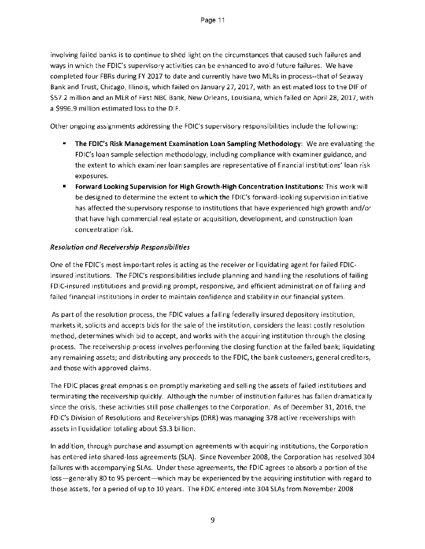involving failed banks is to continue to shed light on the circumstances that caused such failures and ways in which the FDIC's supervisory activities can be enhanced to avoid future failures. We have completed four FBRs during FY 2017 to date and currently have two MLRs in process--that of Seaway Bank and Trust, Chicago, Illinois, which failed on January 27, 2017, with an estimated loss to the DIF of \$57.2 million and an MLR of First NBC Bank, New Orleans, Louisiana, which failed on April 28, 2017, with a \$996.9 million estimated loss to the DIF.

Other ongoing assignments addressing the FDIC's supervisory responsibilities include the following:

- The FDIC's Risk Management Examination Loan Sampling Methodology: We are evaluating the FDIC's loan sample selection methodology, including compliance with examiner guidance, and the extent to which examiner loan samples are representative of financial institutions' loan risk exposures.
- Forward Looking Supervision for High Growth-High Concentration Institutions: This work will be designed to determine the extent to which the FDIC's forward-looking supervision initiative has affected the supervisory response to institutions that have experienced high growth and/or that have high commercial real estate or acquisition, development, and construction loan concentration risk.

#### *Resolution and Receivership Responsibilities*

One of the FDIC's most important roles is acting as the receiver or liquidating agent for failed FDICinsured institutions. The FDIC's responsibilities include planning and handling the resolutions of failing FDIC-insured institutions and providing prompt, responsive, and efficient administration of failing and failed financial institutions in order to maintain confidence and stability in our financial system.

As part of the resolution process, the FDIC values a failing federally insured depository institution, markets it, solicits and accepts bids for the sale of the institution, considers the least costly resolution method, determines which bid to accept, and works with the acquiring institution through the closing process. The receivership process involves performing the closing function at the failed bank; liquidating any remaining assets; and distributing any proceeds to the FDIC, the bank customers, general creditors, and those with approved claims.

The FDIC places great emphasis on promptly marketing and selling the assets of failed institutions and terminating the receivership quickly. Although the number of institution failures has fallen dramatically since the crisis, these activities still pose challenges to the Corporation. As of December 31, 2016, the FDIC's Division of Resolutions and Receiverships (DRR) was managing 378 active receiverships with assets in liquidation totaling about \$3.3 billion.

In addition, through purchase and assumption agreements with acquiring institutions, the Corporation has entered into shared-loss agreements (SLA). Since November 2008, the Corporation has resolved 304 failures with accompanying SLAs. Under these agreements, the FDIC agrees to absorb a portion of the loss—generally 80 to 95 percent—which may be experienced by the acquiring institution with regard to those assets, for a period of up to 10 years. The FDIC entered into 304 SLAs from November 2008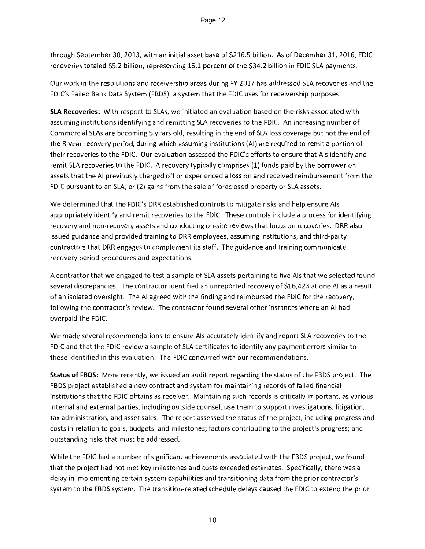through September 30, 2013, with an initial asset base of \$216.5 billion. As of December 31, 2016, FDIC recoveries totaled \$5.2 billion, representing 15.1 percent of the \$34.2 billion in FDIC SLA payments.

Our work in the resolutions and receivership areas during FY 2017 has addressed SLA recoveries and the FDIC's Failed Bank Data System (FBDS), a system that the FDIC uses for receivership purposes.

SLA Recoveries: With respect to SLAs, we initiated an evaluation based on the risks associated with assuming institutions identifying and remitting SLA recoveries to the FDIC. An increasing number of Commercial SLAs are becoming 5 years old, resulting in the end of SLA loss coverage but not the end of the 8-year recovery period, during which assuming institutions (Al) are required to remit a portion of their recoveries to the FDIC. Our evaluation assessed the FDIC's efforts to ensure that Als identify and remit SLA recoveries to the FDIC. A recovery typically comprises (1) funds paid by the borrower on assets that the Al previously charged off or experienced a loss on and received reimbursement from the FDIC pursuant to an SLA; or (2) gains from the sale of foreclosed property or SLA assets.

We determined that the FDIC's DRR established controls to mitigate risks and help ensure Als appropriately identify and remit recoveries to the FDIC. These controls include a process for identifying recovery and non-recovery assets and conducting on-site reviews that focus on recoveries. DRR also issued guidance and provided training to DRR employees, assuming institutions, and third-party contractors that DRR engages to complement its staff. The guidance and training communicate recovery period procedures and expectations.

A contractor that we engaged to test a sample of SLA assets pertaining to five Als that we selected found several discrepancies. The contractor identified an unreported recovery of \$16,423 at one Al as a result of an isolated oversight. The Al agreed with the finding and reimbursed the FDIC for the recovery, following the contractor's review. The contractor found several other instances where an Al had overpaid the FDIC.

We made several recommendations to ensure Als accurately identify and report SLA recoveries to the FDIC and that the FDIC review a sample of SLA certificates to identify any payment errors similar to those identified in this evaluation. The FDIC concurred with our recommendations.

Status of FBDS: More recently, we issued an audit report regarding the status of the FBDS project. The FBDS project established a new contract and system for maintaining records of failed financial institutions that the FDIC obtains as receiver. Maintaining such records is critically important, as various internal and external parties, including outside counsel, use them to support investigations, litigation, tax administration, and asset sales. The report assessed the status of the project, including progress and costs in relation to goals, budgets, and milestones; factors contributing to the project's progress; and outstanding risks that must be addressed.

While the FDIC had a number of significant achievements associated with the FBDS project, we found that the project had not met key milestones and costs exceeded estimates. Specifically, there was a delay in implementing certain system capabilities and transitioning data from the prior contractor's system to the FBDS system. The transition-related schedule delays caused the FDIC to extend the prior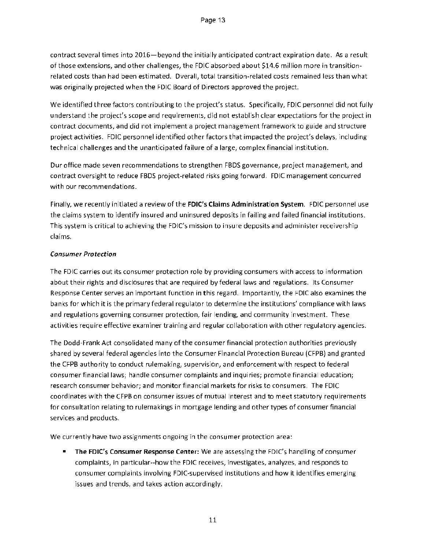contract several times into 2016—beyond the initially anticipated contract expiration date. As a result of those extensions, and other challenges, the FDIC absorbed about \$14.6 million more in transitionrelated costs than had been estimated. Overall, total transition-related costs remained less than what was originally projected when the FDIC Board of Directors approved the project.

We identified three factors contributing to the project's status. Specifically, FDIC personnel did not fully understand the project's scope and requirements, did not establish clear expectations for the project in contract documents, and did not implement a project management framework to guide and structure project activities. FDIC personnel identified other factors that impacted the project's delays, including technical challenges and the unanticipated failure of a large, complex financial institution.

Our office made seven recommendations to strengthen FBDS governance, project management, and contract oversight to reduce FBDS project-related risks going forward. FDIC management concurred with our recommendations.

Finally, we recently initiated a review of the FDIC's Claims Administration System. FDIC personnel use the claims system to identify insured and uninsured deposits in failing and failed financial institutions. This system is critical to achieving the FDIC's mission to insure deposits and administer receivership claims.

#### Consumer Protection

The FDIC carries out its consumer protection role by providing consumers with access to information about their rights and disclosures that are required by federal laws and regulations. Its Consumer Response Center serves an important function in this regard. Importantly, the FDIC also examines the banks for which it is the primary federal regulator to determine the institutions' compliance with laws and regulations governing consumer protection, fair lending, and community investment. These activities require effective examiner training and regular collaboration with other regulatory agencies.

The Dodd-Frank Act consolidated many of the consumer financial protection authorities previously shared by several federal agencies into the Consumer Financial Protection Bureau (CFPB) and granted the CFPB authority to conduct rulemaking, supervision, and enforcement with respect to federal consumer financial laws; handle consumer complaints and inquiries; promote financial education; research consumer behavior; and monitor financial markets for risks to consumers. The FDIC coordinates with the CFPB on consumer issues of mutual interest and to meet statutory requirements for consultation relating to rulemakings in mortgage lending and other types of consumer financial services and products.

We currently have two assignments ongoing in the consumer protection area:

The FDIC's Consumer Response Center: We are assessing the FDIC's handling of consumer complaints, in particular--how the FDIC receives, investigates, analyzes, and responds to consumer complaints involving FDIC-supervised institutions and how it identifies emerging issues and trends, and takes action accordingly.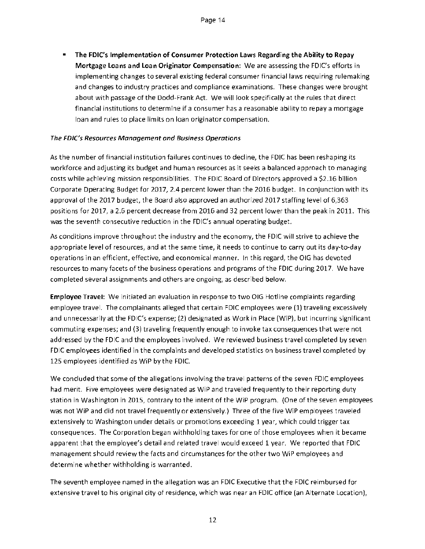• The FDIC's Implementation of Consumer Protection Laws Regarding the Ability to Repay Mortgage Loans and Loan Originator Compensation: We are assessing the FDIC's efforts in implementing changes to several existing federal consumer financial laws requiring rulemaking and changes to industry practices and compliance examinations. These changes were brought about with passage of the Dodd-Frank Act. We will look specifically at the rules that direct financial institutions to determine if a consumer has a reasonable ability to repay a mortgage loan and rules to place limits on loan originator compensation.

#### The FDIC's Resources Management and Business Operations

As the number of financial institution failures continues to decline, the FDIC has been reshaping its workforce and adjusting its budget and human resources as it seeks a balanced approach to managing costs while achieving mission responsibilities. The FDIC Board of Directors approved a \$2.16 billion Corporate Operating Budget for 2017, 2.4 percent lower than the 2016 budget. In conjunction with its approval of the 2017 budget, the Board also approved an authorized 2017 staffing level of 6,363 positions for 2017, a 2.6 percent decrease from 2016 and 32 percent lower than the peak in 2011. This was the seventh consecutive reduction in the FDIC's annual operating budget.

As conditions improve throughout the industry and the economy, the FDIC will strive to achieve the appropriate level of resources, and at the same time, it needs to continue to carry out its day-to-day operations in an efficient, effective, and economical manner. In this regard, the DIG has devoted resources to many facets of the business operations and programs of the FDIC during 2017. We have completed several assignments and others are ongoing, as described below.

Employee Travel: We initiated an evaluation in response to two OIG Hotline complaints regarding employee travel. The complainants alleged that certain FDIC employees were (1) traveling excessively and unnecessarily at the FDIC's expense; (2) designated as Work in Place (MP), but incurring significant commuting expenses; and (3) traveling frequently enough to invoke tax consequences that were not addressed by the FDIC and the employees involved. We reviewed business travel completed by seven FDIC employees identified in the complaints and developed statistics on business travel completed by 125 employees identified as WiP by the FDIC.

We concluded that some of the allegations involving the travel patterns of the seven FDIC employees had merit. Five employees were designated as WiP and traveled frequently to their reporting duty station in Washington in 2015, contrary to the intent of the WiP program. (One of the seven employees was not WiP and did not travel frequently or extensively.) Three of the five WiP employees traveled extensively to Washington under details or promotions exceeding 1 year, which could trigger tax consequences. The Corporation began withholding taxes for one of those employees when it became apparent that the employee's detail and related travel would exceed 1 year. We reported that FDIC management should review the facts and circumstances for the other two WiP employees and determine whether withholding is warranted.

The seventh employee named in the allegation was an FDIC Executive that the FDIC reimbursed for extensive travel to his original city of residence, which was near an FDIC office (an Alternate Location),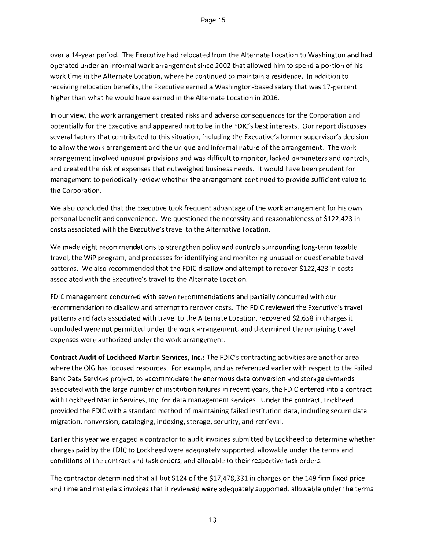over a 14-year period. The Executive had relocated from the Alternate Location to Washington and had operated under an informal work arrangement since 2002 that allowed him to spend a portion of his work time in the Alternate Location, where he continued to maintain a residence. In addition to receiving relocation benefits, the Executive earned a Washington-based salary that was 17-percent higher than what he would have earned in the Alternate Location in 2016.

In our view, the work arrangement created risks and adverse consequences for the Corporation and potentially for the Executive and appeared not to be in the FDIC's best interests. Our report discusses several factors that contributed to this situation, including the Executive's former supervisor's decision to allow the work arrangement and the unique and informal nature of the arrangement. The work arrangement involved unusual provisions and was difficult to monitor, lacked parameters and controls, and created the risk of expenses that outweighed business needs. It would have been prudent for management to periodically review whether the arrangement continued to provide sufficient value to the Corporation.

We also concluded that the Executive took frequent advantage of the work arrangement for his own personal benefit and convenience. We questioned the necessity and reasonableness of \$122,423 in costs associated with the Executive's travel to the Alternative Location.

We made eight recommendations to strengthen policy and controls surrounding long-term taxable travel, the WiP program, and processes for identifying and monitoring unusual or questionable travel patterns. We also recommended that the FDIC disallow and attempt to recover \$122,423 in costs associated with the Executive's travel to the Alternate Location.

FDIC management concurred with seven recommendations and partially concurred with our recommendation to disallow and attempt to recover costs. The FDIC reviewed the Executive's travel patterns and facts associated with travel to the Alternate Location, recovered \$2,658 in charges it concluded were not permitted under the work arrangement, and determined the remaining travel expenses were authorized under the work arrangement.

Contract Audit of Lockheed Martin Services, Inc.: The FDIC's contracting activities are another area where the OIG has focused resources. For example, and as referenced earlier with respect to the Failed Bank Data Services project, to accommodate the enormous data conversion and storage demands associated with the large number of institution failures in recent years, the FDIC entered into a contract with Lockheed Martin Services, Inc. for data management services. Under the contract, Lockheed provided the FDIC with a standard method of maintaining failed institution data, including secure data migration, conversion, cataloging, indexing, storage, security, and retrieval.

Earlier this year we engaged a contractor to audit invoices submitted by Lockheed to determine whether charges paid by the FDIC to Lockheed were adequately supported, allowable under the terms and conditions of the contract and task orders, and allocable to their respective task orders.

The contractor determined that all but \$124 of the \$17,478,331 in charges on the 149 firm fixed price and time and materials invoices that it reviewed were adequately supported, allowable under the terms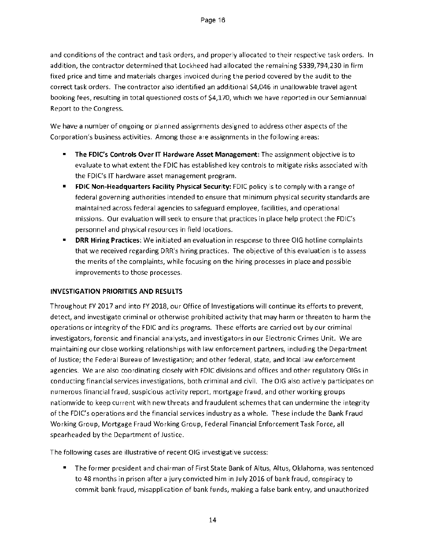and conditions of the contract and task orders, and properly allocated to their respective task orders. In addition, the contractor determined that Lockheed had allocated the remaining \$339,794,230 in firm fixed price and time and materials charges invoiced during the period covered by the audit to the correct task orders. The contractor also identified an additional \$4,046 in unallowable travel agent booking fees, resulting in total questioned costs of \$4,170, which we have reported in our Semiannual Report to the Congress.

We have a number of ongoing or planned assignments designed to address other aspects of the Corporation's business activities. Among those are assignments in the following areas:

- **The FDIC's Controls Over IT Hardware Asset Management:** The assignment objective is to evaluate to what extent the FDIC has established key controls to mitigate risks associated with the FDIC's IT hardware asset management program.
- **FDIC Non-Headquarters Facility Physical Security:** FDIC policy is to comply with a range of federal governing authorities intended to ensure that minimum physical security standards are maintained across federal agencies to safeguard employee, facilities, and operational missions. Our evaluation will seek to ensure that practices in place help protect the FDIC's personnel and physical resources in field locations.
- **DRR Hiring Practices:** We initiated an evaluation in response to three DIG hotline complaints that we received regarding DRR's hiring practices. The objective of this evaluation is to assess the merits of the complaints, while focusing on the hiring processes in place and possible improvements to those processes.

#### **INVESTIGATION PRIORITIES AND RESULTS**

Throughout FY 2017 and into FY 2018, our Office of Investigations will continue its efforts to prevent, detect, and investigate criminal or otherwise prohibited activity that may harm or threaten to harm the operations or integrity of the FDIC and its programs. These efforts are carried out by our criminal investigators, forensic and financial analysts, and investigators in our Electronic Crimes Unit. We are maintaining our close working relationships with law enforcement partners, including the Department of Justice; the Federal Bureau of Investigation; and other federal, state, and local law enforcement agencies. We are also coordinating closely with FDIC divisions and offices and other regulatory OlGs in conducting financial services investigations, both criminal and civil. The OIG also actively participates on numerous financial fraud, suspicious activity report, mortgage fraud, and other working groups nationwide to keep current with new threats and fraudulent schemes that can undermine the integrity of the FDIC's operations and the financial services industry as a whole. These include the Bank Fraud Working Group, Mortgage Fraud Working Group, Federal Financial Enforcement Task Force, all spearheaded by the Department of Justice.

The following cases are illustrative of recent OIG investigative success:

• The former president and chairman of First State Bank of Altus, Altus, Oklahoma, was sentenced to 48 months in prison after a jury convicted him in July 2016 of bank fraud, conspiracy to commit bank fraud, misapplication of bank funds, making a false bank entry, and unauthorized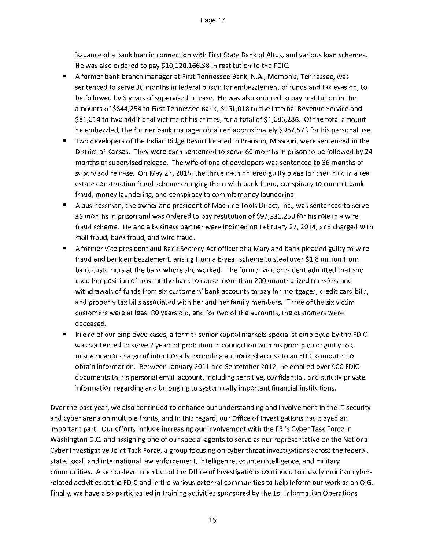issuance of a bank loan in connection with First State Bank of Altus, and various loan schemes. He was also ordered to pay \$10,120,166.58 in restitution to the FDIC.

- A former bank branch manager at First Tennessee Bank, NA., Memphis, Tennessee, was sentenced to serve 36 months in federal prison for embezzlement of funds and tax evasion, to be followed by 5 years of supervised release. He was also ordered to pay restitution in the amounts of \$844,254 to First Tennessee Bank, \$161,018 to the Internal Revenue Service and \$81,014 to two additional victims of his crimes, for a total of \$1,086,286. Of the total amount he embezzled, the former bank manager obtained approximately \$967,573 for his personal use.
- Two developers of the Indian Ridge Resort located in Branson, Missouri, were sentenced in the District of Kansas. They were each sentenced to serve 60 months in prison to be followed by 24 months of supervised release. The wife of one of developers was sentenced to 36 months of supervised release. On May 27, 2015, the three each entered guilty pleas for their role in a real estate construction fraud scheme charging them with bank fraud, conspiracy to commit bank fraud, money laundering, and conspiracy to commit money laundering.
- A businessman, the owner and president of Machine Tools Direct, Inc., was sentenced to serve 36 months in prison and was ordered to pay restitution of \$97,331,250 for his role in a wire fraud scheme. He and a business partner were indicted on February 27, 2014, and charged with mail fraud, bank fraud, and wire fraud.
- A former vice president and Bank Secrecy Act officer of a Maryland bank pleaded guilty to wire fraud and bank embezzlement, arising from a 6-year scheme to steal over \$1.8 million from bank customers at the bank where she worked. The former vice president admitted that she used her position of trust at the bank to cause more than 200 unauthorized transfers and withdrawals of funds from six customers' bank accounts to pay for mortgages, credit card bills, and property tax bills associated with her and her family members. Three of the six victim customers were at least 80 years old, and for two of the accounts, the customers were deceased.
- In one of our employee cases, a former senior capital markets specialist employed by the FDIC was sentenced to serve 2 years of probation in connection with his prior plea of guilty to a misdemeanor charge of intentionally exceeding authorized access to an FDIC computer to obtain information. Between January 2011 and September 2012, he emailed over 900 FDIC documents to his personal email account, including sensitive, confidential, and strictly private information regarding and belonging to systemically important financial institutions.

Over the past year, we also continued to enhance our understanding and involvement in the IT security and cyber arena on multiple fronts, and in this regard, our Office of Investigations has played an important part. Our efforts include increasing our involvement with the FBI's Cyber Task Force in Washington D.C. and assigning one of our special agents to serve as our representative on the National Cyber Investigative Joint Task Force, a group focusing on cyber threat investigations across the federal, state, local, and international law enforcement, intelligence, counterintelligence, and military communities. A senior-level member of the Office of Investigations continued to closely monitor cyberrelated activities at the FDIC and in the various external communities to help inform our work as an 01G. Finally, we have also participated in training activities sponsored by the 1st Information Operations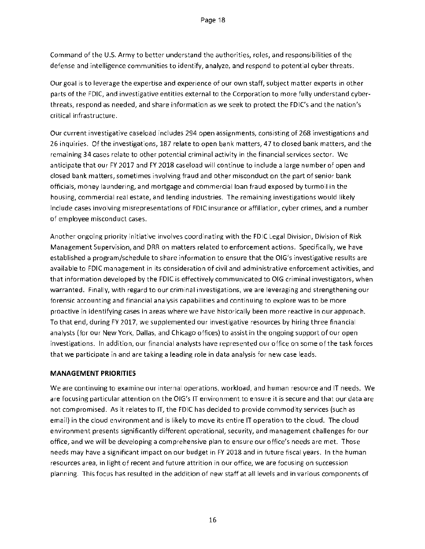Command of the U.S. Army to better understand the authorities, roles, and responsibilities of the defense and intelligence communities to identify, analyze, and respond to potential cyber threats.

Our goal is to leverage the expertise and experience of our own staff, subject matter experts in other parts of the FDIC, and investigative entities external to the Corporation to more fully understand cyberthreats, respond as needed, and share information as we seek to protect the FDIC's and the nation's critical infrastructure.

Our current investigative caseload includes 294 open assignments, consisting of 268 investigations and 26 inquiries. Of the investigations, 187 relate to open bank matters, 47 to closed bank matters, and the remaining 34 cases relate to other potential criminal activity in the financial services sector. We anticipate that our FY 2017 and FY 2018 caseload will continue to include a large number of open and closed bank matters, sometimes involving fraud and other misconduct on the part of senior bank officials, money laundering, and mortgage and commercial loan fraud exposed by turmoil in the housing, commercial real estate, and lending industries. The remaining investigations would likely include cases involving misrepresentations of FDIC insurance or affiliation, cyber crimes, and a number of employee misconduct cases.

Another ongoing priority initiative involves coordinating with the FDIC Legal Division, Division of Risk Management Supervision, and DRR on matters related to enforcement actions. Specifically, we have established a program/schedule to share information to ensure that the OIG's investigative results are available to FDIC management in its consideration of civil and administrative enforcement activities, and that information developed by the FDIC is effectively communicated to OIG criminal investigators, when warranted. Finally, with regard to our criminal investigations, we are leveraging and strengthening our forensic accounting and financial analysis capabilities and continuing to explore was to be more proactive in identifying cases in areas where we have historically been more reactive in our approach. To that end, during FY 2017, we supplemented our investigative resources by hiring three financial analysts (for our New York, Dallas, and Chicago offices) to assist in the ongoing support of our open investigations. In addition, our financial analysts have represented our office on some of the task forces that we participate in and are taking a leading role in data analysis for new case leads.

#### MANAGEMENT PRIORITIES

We are continuing to examine our internal operations, workload, and human resource and IT needs. We are focusing particular attention on the OIG's IT environment to ensure it is secure and that our data are not compromised. As it relates to IT, the FDIC has decided to provide commodity services (such as email) in the cloud environment and is likely to move its entire IT operation to the cloud. The cloud environment presents significantly different operational, security, and management challenges for our office, and we will be developing a comprehensive plan to ensure our office's needs are met. Those needs may have a significant impact on our budget in FY 2018 and in future fiscal years. In the human resources area, in light of recent and future attrition in our office, we are focusing on succession planning. This focus has resulted in the addition of new staff at all levels and in various components of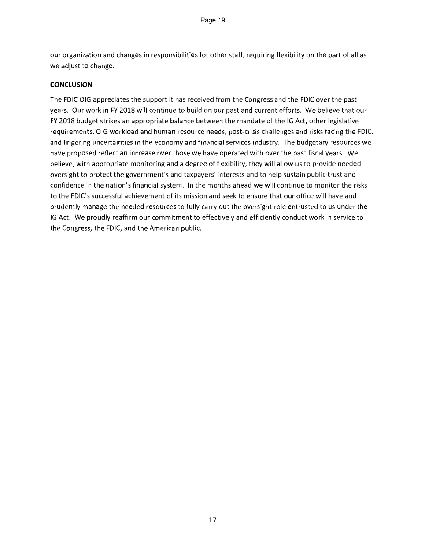our organization and changes in responsibilities for other staff, requiring flexibility on the part of all as we adjust to change.

#### **CONCLUSION**

The FDIC OIG appreciates the support it has received from the Congress and the FDIC over the past years. Our work in FY 2018 will continue to build on our past and current efforts. We believe that our FY 2018 budget strikes an appropriate balance between the mandate of the IG Act, other legislative requirements, OIG workload and human resource needs, post-crisis challenges and risks facing the FDIC, and lingering uncertainties in the economy and financial services industry. The budgetary resources we have proposed reflect an increase over those we have operated with over the past fiscal years. We believe, with appropriate monitoring and a degree of flexibility, they will allow us to provide needed oversight to protect the government's and taxpayers' interests and to help sustain public trust and confidence in the nation's financial system. In the months ahead we will continue to monitor the risks to the FDIC's successful achievement of its mission and seek to ensure that our office will have and prudently manage the needed resources to fully carry out the oversight role entrusted to us under the IG Act. We proudly reaffirm our commitment to effectively and efficiently conduct work in service to the Congress, the FDIC, and the American public.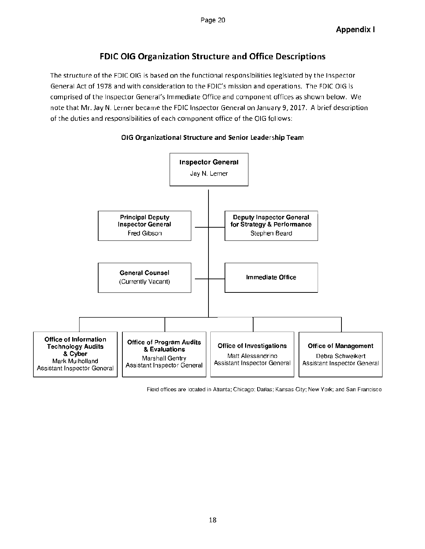#### FDIC OIG Organization Structure and Office Descriptions

The structure of the FDIC OIG is based on the functional responsibilities legislated by the Inspector General Act of 1978 and with consideration to the FDIC's mission and operations. The FDIC 016 is comprised of the Inspector General's Immediate Office and component offices as shown below. We note that Mr. Jay N. Lerner became the FDIC Inspector General on January 9,2017. A brief description of the duties and responsibilities of each component office of the OIG follows:





Field offices are located in Atlanta; Chicago; Dallas; Kansas City; New York; and San Francisco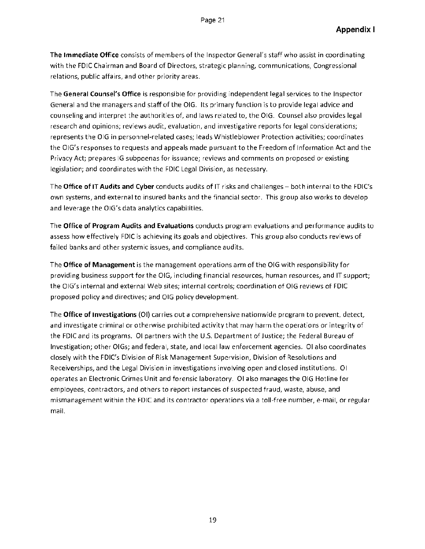The Immediate Office consists of members of the Inspector General's staff who assist in coordinating with the FDIC Chairman and Board of Directors, strategic planning, communications, Congressional relations, public affairs, and other priority areas.

The **General Counsel's Office** is responsible for providing independent legal services to the Inspector General and the managers and staff of the DIG. Its primary function is to provide legal advice and counseling and interpret the authorities of, and laws related to, the 01G. Counsel also provides legal research and opinions; reviews audit, evaluation, and investigative reports for legal considerations; represents the OIG in personnel-related cases; leads Whistleblower Protection activities; coordinates the OIG's responses to requests and appeals made pursuant to the Freedom of Information Act and the Privacy Act; prepares 1G subpoenas for issuance; reviews and comments on proposed or existing legislation; and coordinates with the **FDIC** Legal Division, as necessary.

The **Office of IT Audits and Cyber** conducts audits of IT risks and challenges — both internal to the FDIC's own systems, and external to insured banks and the financial sector. This group also works to develop and leverage the OIG's data analytics capabilities.

The **Office of Program Audits and Evaluations** conducts program evaluations and performance audits to assess how effectively FDIC is achieving its goals and objectives. This group also conducts reviews of failed banks and other systemic issues, and compliance audits.

The **Office of Management** is the management operations arm of the OIG with responsibility for providing business support for the DIG, including financial resources, human resources, and IT support; the OIG's internal and external Web sites; internal controls; coordination of OIG reviews of FDIC proposed policy and directives; and OIG policy development.

The **Office of Investigations** (01) carries out a comprehensive nationwide program to prevent, detect, and investigate criminal or otherwise prohibited activity that may harm the operations or integrity of the FDIC and its programs. 01 partners with the U.S. Department of Justice; the Federal Bureau of Investigation; other OlGs; and federal, state, and local law enforcement agencies. 01 also coordinates closely with the FDIC's Division of Risk Management Supervision, Division of Resolutions and Receiverships, and the Legal Division in investigations involving open and closed institutions. 01 operates an Electronic Crimes Unit and forensic laboratory. 01 also manages the OIG Hotline for employees, contractors, and others to report instances of suspected fraud, waste, abuse, and mismanagement within the FDIC and its contractor operations via a toll-free number, e-mail, or regular mail.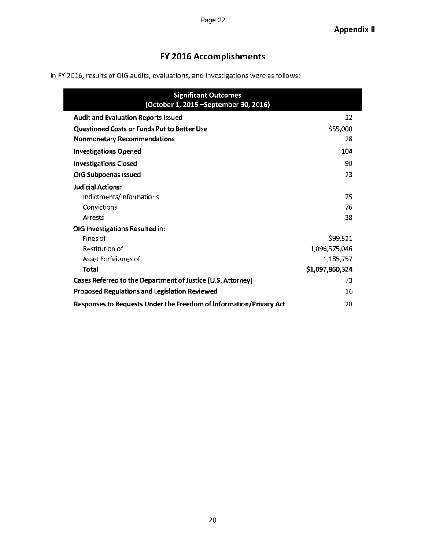#### FY 2016 Accomplishments

In FY 2016, results of 016 audits, evaluations, and investigations were as follows:

| <b>Significant Outcomes</b><br>(October 1, 2015 - September 30, 2016) |                 |
|-----------------------------------------------------------------------|-----------------|
| <b>Audit and Evaluation Reports Issued</b>                            | 12              |
| Questioned Costs or Funds Put to Better Use                           | \$55,000        |
| <b>Nonmonetary Recommendations</b>                                    | 28              |
| <b>Investigations Opened</b>                                          | 104             |
| <b>Investigations Closed</b>                                          | 90              |
| OIG Subpoenas Issued                                                  | 23              |
| <b>Judicial Actions:</b>                                              |                 |
| Indictments/Informations                                              | 75              |
| Convictions                                                           | 76              |
| Arrests                                                               | 38              |
| OIG Investigations Resulted in:                                       |                 |
| Fines of                                                              | \$99,521        |
| Restitution of                                                        | 1,096,575,046   |
| Asset Forfeitures of                                                  | 1,185,757       |
| <b>Total</b>                                                          | \$1,097,860,324 |
| Cases Referred to the Department of Justice (U.S. Attorney)           | 73              |
| <b>Proposed Regulations and Legislation Reviewed</b>                  | 16              |
| Responses to Requests Under the Freedom of Information/Privacy Act    | 20              |